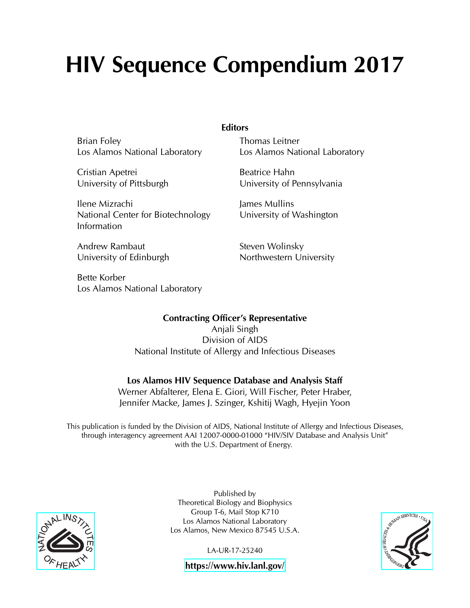# **HIV Sequence Compendium 2017**

Brian Foley Los Alamos National Laboratory

Cristian Apetrei University of Pittsburgh

Ilene Mizrachi National Center for Biotechnology Information

Andrew Rambaut University of Edinburgh

Bette Korber Los Alamos National Laboratory **Editors**

Thomas Leitner Los Alamos National Laboratory

Beatrice Hahn University of Pennsylvania

James Mullins University of Washington

Steven Wolinsky Northwestern University

**Contracting Officer's Representative** Anjali Singh

Division of AIDS National Institute of Allergy and Infectious Diseases

#### **Los Alamos HIV Sequence Database and Analysis Staff**

Werner Abfalterer, Elena E. Giori, Will Fischer, Peter Hraber, Jennifer Macke, James J. Szinger, Kshitij Wagh, Hyejin Yoon

This publication is funded by the Division of AIDS, National Institute of Allergy and Infectious Diseases, through interagency agreement AAI 12007-0000-01000 "HIV/SIV Database and Analysis Unit" with the U.S. Department of Energy.



Published by Theoretical Biology and Biophysics Group T-6, Mail Stop K710 Los Alamos National Laboratory Los Alamos, New Mexico 87545 U.S.A.

LA-UR-17-25240



**<https://www.hiv.lanl.gov/>**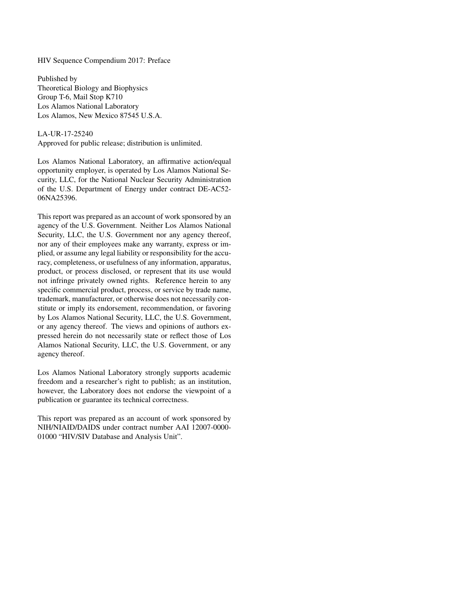HIV Sequence Compendium 2017: Preface

Published by Theoretical Biology and Biophysics Group T-6, Mail Stop K710 Los Alamos National Laboratory Los Alamos, New Mexico 87545 U.S.A.

#### LA-UR-17-25240

Approved for public release; distribution is unlimited.

Los Alamos National Laboratory, an affirmative action/equal opportunity employer, is operated by Los Alamos National Security, LLC, for the National Nuclear Security Administration of the U.S. Department of Energy under contract DE-AC52- 06NA25396.

This report was prepared as an account of work sponsored by an agency of the U.S. Government. Neither Los Alamos National Security, LLC, the U.S. Government nor any agency thereof, nor any of their employees make any warranty, express or implied, or assume any legal liability or responsibility for the accuracy, completeness, or usefulness of any information, apparatus, product, or process disclosed, or represent that its use would not infringe privately owned rights. Reference herein to any specific commercial product, process, or service by trade name, trademark, manufacturer, or otherwise does not necessarily constitute or imply its endorsement, recommendation, or favoring by Los Alamos National Security, LLC, the U.S. Government, or any agency thereof. The views and opinions of authors expressed herein do not necessarily state or reflect those of Los Alamos National Security, LLC, the U.S. Government, or any agency thereof.

Los Alamos National Laboratory strongly supports academic freedom and a researcher's right to publish; as an institution, however, the Laboratory does not endorse the viewpoint of a publication or guarantee its technical correctness.

This report was prepared as an account of work sponsored by NIH/NIAID/DAIDS under contract number AAI 12007-0000- 01000 "HIV/SIV Database and Analysis Unit".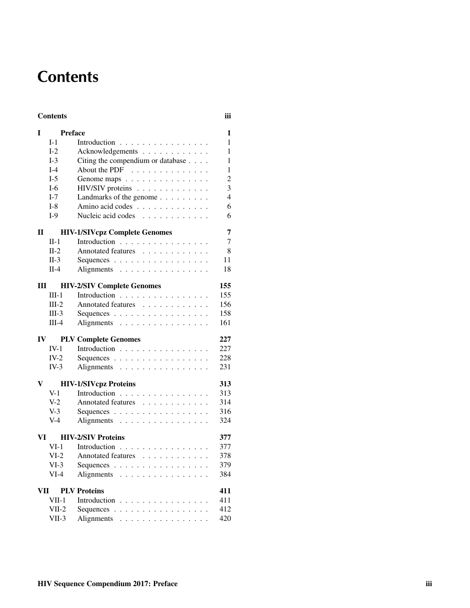# **Contents**

#### Contents iii

| I                                 | <b>Preface</b>            |                                                                          | 1                       |  |  |  |  |
|-----------------------------------|---------------------------|--------------------------------------------------------------------------|-------------------------|--|--|--|--|
|                                   | $I-1$                     | Introduction                                                             | 1                       |  |  |  |  |
|                                   | $I-2$                     | Acknowledgements                                                         | $\mathbf 1$             |  |  |  |  |
|                                   | $I-3$                     | Citing the compendium or database                                        | 1                       |  |  |  |  |
|                                   | $I-4$                     | About the PDF $\ldots$ ,                                                 | 1                       |  |  |  |  |
|                                   | $I-5$                     | Genome maps                                                              | $\overline{2}$          |  |  |  |  |
|                                   | $I-6$                     | HIV/SIV proteins                                                         | $\overline{\mathbf{3}}$ |  |  |  |  |
|                                   | $I-7$                     | Landmarks of the genome                                                  | $\overline{4}$          |  |  |  |  |
|                                   | $I-8$                     | Amino acid codes                                                         | 6                       |  |  |  |  |
|                                   | $I-9$                     | Nucleic acid codes                                                       | 6                       |  |  |  |  |
| П                                 |                           | <b>HIV-1/SIVcpz Complete Genomes</b>                                     |                         |  |  |  |  |
|                                   | $II-1$                    | Introduction                                                             | 7                       |  |  |  |  |
|                                   | $II-2$                    | Annotated features                                                       | 8                       |  |  |  |  |
|                                   | $II-3$                    | Sequences $\ldots$ $\ldots$ $\ldots$ $\ldots$ $\ldots$ $\ldots$ $\ldots$ | 11                      |  |  |  |  |
|                                   | $II-4$                    | Alignments                                                               | 18                      |  |  |  |  |
| Ш                                 |                           | <b>HIV-2/SIV Complete Genomes</b><br>155                                 |                         |  |  |  |  |
|                                   | $III-1$                   | Introduction                                                             | 155                     |  |  |  |  |
|                                   | $III-2$                   | Annotated features                                                       | 156                     |  |  |  |  |
|                                   | $III-3$                   | Sequences                                                                | 158                     |  |  |  |  |
|                                   | $III-4$                   | Alignments                                                               | 161                     |  |  |  |  |
| $\mathbf{IV}$                     |                           | <b>PLV Complete Genomes</b>                                              | 227                     |  |  |  |  |
|                                   | $IV-1$                    | Introduction                                                             | 227                     |  |  |  |  |
|                                   | $IV-2$                    | Sequences                                                                | 228                     |  |  |  |  |
|                                   | $IV-3$                    | Alignments                                                               | 231                     |  |  |  |  |
| V                                 |                           | <b>HIV-1/SIVcpz Proteins</b>                                             |                         |  |  |  |  |
|                                   | $V-1$                     | Introduction                                                             | 313                     |  |  |  |  |
|                                   | $V-2$                     | Annotated features                                                       | 314                     |  |  |  |  |
|                                   | $V-3$                     | Sequences                                                                | 316                     |  |  |  |  |
|                                   | $V-4$                     | Alignments                                                               | 324                     |  |  |  |  |
| VI                                | <b>HIV-2/SIV Proteins</b> |                                                                          |                         |  |  |  |  |
|                                   | $VI-1$                    | Introduction                                                             | 377                     |  |  |  |  |
|                                   | $VI-2$                    | Annotated features                                                       | 378                     |  |  |  |  |
|                                   | $VI-3$                    | Sequences                                                                | 379                     |  |  |  |  |
|                                   | $VI-4$                    | Alignments                                                               | 384                     |  |  |  |  |
| <b>PLV Proteins</b><br>VII<br>411 |                           |                                                                          |                         |  |  |  |  |
|                                   | $VII-1$                   | Introduction                                                             | 411                     |  |  |  |  |
|                                   | $VII-2$                   | Sequences                                                                | 412                     |  |  |  |  |
|                                   | $VII-3$                   | Alignments                                                               | 420                     |  |  |  |  |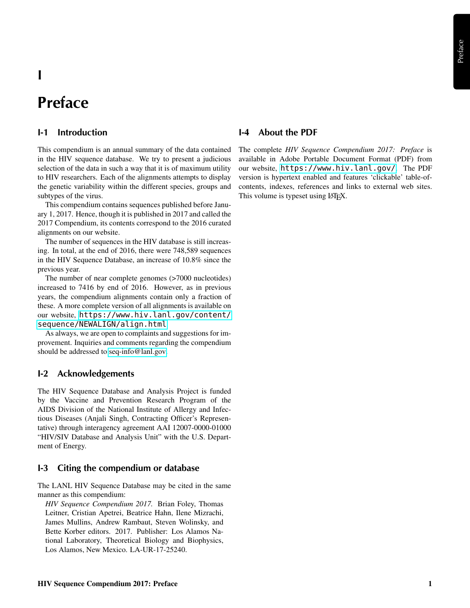### **I**

## **Preface**

#### **I-1 Introduction**

This compendium is an annual summary of the data contained in the HIV sequence database. We try to present a judicious selection of the data in such a way that it is of maximum utility to HIV researchers. Each of the alignments attempts to display the genetic variability within the different species, groups and subtypes of the virus.

This compendium contains sequences published before January 1, 2017. Hence, though it is published in 2017 and called the 2017 Compendium, its contents correspond to the 2016 curated alignments on our website.

The number of sequences in the HIV database is still increasing. In total, at the end of 2016, there were 748,589 sequences in the HIV Sequence Database, an increase of 10.8% since the previous year.

The number of near complete genomes (>7000 nucleotides) increased to 7416 by end of 2016. However, as in previous years, the compendium alignments contain only a fraction of these. A more complete version of all alignments is available on our website, [https://www.hiv.lanl.gov/content/](https://www.hiv.lanl.gov/content/sequence/NEWALIGN/align.html) [sequence/NEWALIGN/align.html](https://www.hiv.lanl.gov/content/sequence/NEWALIGN/align.html)

As always, we are open to complaints and suggestions for improvement. Inquiries and comments regarding the compendium should be addressed to [seq-info@lanl.gov.](mailto:seq-info@lanl.gov)

#### **I-2 Acknowledgements**

The HIV Sequence Database and Analysis Project is funded by the Vaccine and Prevention Research Program of the AIDS Division of the National Institute of Allergy and Infectious Diseases (Anjali Singh, Contracting Officer's Representative) through interagency agreement AAI 12007-0000-01000 "HIV/SIV Database and Analysis Unit" with the U.S. Department of Energy.

#### **I-3 Citing the compendium or database**

The LANL HIV Sequence Database may be cited in the same manner as this compendium:

*HIV Sequence Compendium 2017.* Brian Foley, Thomas Leitner, Cristian Apetrei, Beatrice Hahn, Ilene Mizrachi, James Mullins, Andrew Rambaut, Steven Wolinsky, and Bette Korber editors. 2017. Publisher: Los Alamos National Laboratory, Theoretical Biology and Biophysics, Los Alamos, New Mexico. LA-UR-17-25240.

#### **I-4 About the PDF**

The complete *HIV Sequence Compendium 2017: Preface* is available in Adobe Portable Document Format (PDF) from our website, <https://www.hiv.lanl.gov/>. The PDF version is hypertext enabled and features 'clickable' table-ofcontents, indexes, references and links to external web sites. This volume is typeset using LAT<sub>E</sub>X.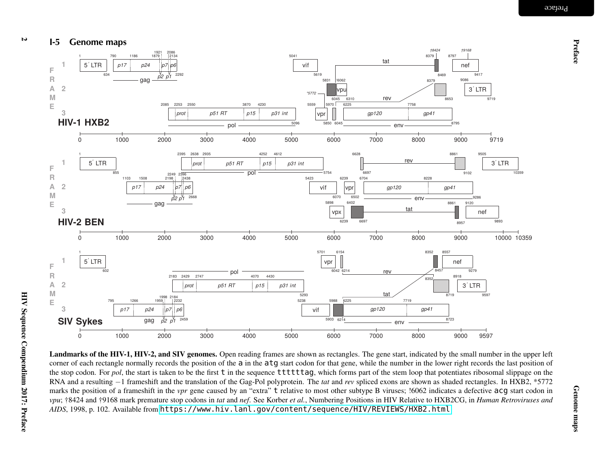

Landmarks of the HIV-1, HIV-2, and SIV genomes. Open reading frames are shown as rectangles. The gene start, indicated by the small number in the upper left corner of each rectangle normally records the position of the a in the atg start codon for that gene, while the number in the lower right records the last position of the stop codon. For *pol*, the start is taken to be the first t in the sequence ttttttag, which forms part of the stem loop that potentiates ribosomal slippage on the RNA and <sup>a</sup> resulting <sup>−</sup><sup>1</sup> frameshift and the translation of the Gag-Pol polyprotein. The *tat* and *rev* spliced exons are shown as shaded rectangles. In HXB2, \*5772 marks the position of a frameshift in the *vpr* gene caused by an "extra" t relative to most other subtype B viruses; !6062 indicates a defective acg start codon in vpu; †8424 and †9168 mark premature stop codons in *tat* and *nef.* See Korber *et al.*, Numbering Positions in HIV Relative to HXB2CG, in Human Retroviruses and *AIDS*, 1998, p. 102. Available from <https://www.hiv.lanl.gov/content/sequence/HIV/REVIEWS/HXB2.html>

 $\overline{v}$ 

Preface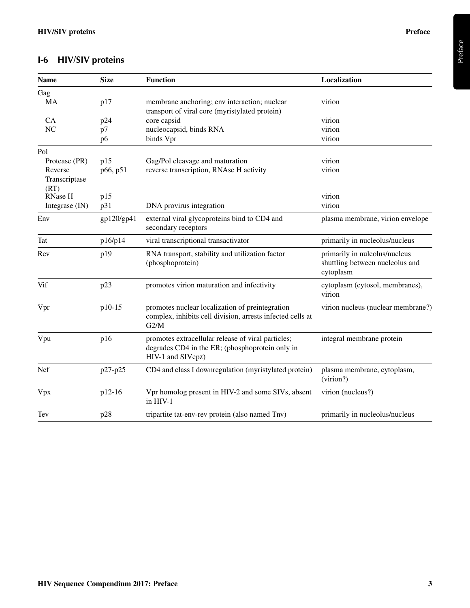### **I-6 HIV/SIV proteins**

| <b>Name</b>           | <b>Size</b>    | <b>Function</b>                                                                                                            | Localization                                                                  |
|-----------------------|----------------|----------------------------------------------------------------------------------------------------------------------------|-------------------------------------------------------------------------------|
| Gag                   |                |                                                                                                                            |                                                                               |
| MA                    | p17            | membrane anchoring; env interaction; nuclear<br>transport of viral core (myristylated protein)                             | virion                                                                        |
| <b>CA</b>             | p24            | core capsid                                                                                                                | virion                                                                        |
| NC                    | p7             | nucleocapsid, binds RNA                                                                                                    | virion                                                                        |
|                       | p <sub>6</sub> | binds Vpr                                                                                                                  | virion                                                                        |
| Pol                   |                |                                                                                                                            |                                                                               |
| Protease (PR)         | p15            | Gag/Pol cleavage and maturation                                                                                            | virion                                                                        |
| Reverse               | p66, p51       | reverse transcription, RNAse H activity                                                                                    | virion                                                                        |
| Transcriptase<br>(RT) |                |                                                                                                                            |                                                                               |
| <b>RNase H</b>        | p15            |                                                                                                                            | virion                                                                        |
| Integrase (IN)        | p31            | DNA provirus integration                                                                                                   | virion                                                                        |
| Env                   | gp120/gp41     | external viral glycoproteins bind to CD4 and<br>secondary receptors                                                        | plasma membrane, virion envelope                                              |
| Tat                   | p16/p14        | viral transcriptional transactivator                                                                                       | primarily in nucleolus/nucleus                                                |
| Rev                   | p19            | RNA transport, stability and utilization factor<br>(phosphoprotein)                                                        | primarily in nuleolus/nucleus<br>shuttling between nucleolus and<br>cytoplasm |
| Vif                   | p23            | promotes virion maturation and infectivity                                                                                 | cytoplasm (cytosol, membranes),<br>virion                                     |
| Vpr                   | p10-15         | promotes nuclear localization of preintegration<br>complex, inhibits cell division, arrests infected cells at<br>G2/M      | virion nucleus (nuclear membrane?)                                            |
| Vpu                   | p16            | promotes extracellular release of viral particles;<br>degrades CD4 in the ER; (phosphoprotein only in<br>HIV-1 and SIVcpz) | integral membrane protein                                                     |
| Nef                   | p27-p25        | CD4 and class I downregulation (myristylated protein)                                                                      | plasma membrane, cytoplasm,<br>(virion?)                                      |
| Vpx                   | p12-16         | Vpr homolog present in HIV-2 and some SIVs, absent<br>in HIV-1                                                             | virion (nucleus?)                                                             |
| Tev                   | p28            | tripartite tat-env-rev protein (also named Tnv)                                                                            | primarily in nucleolus/nucleus                                                |

Preface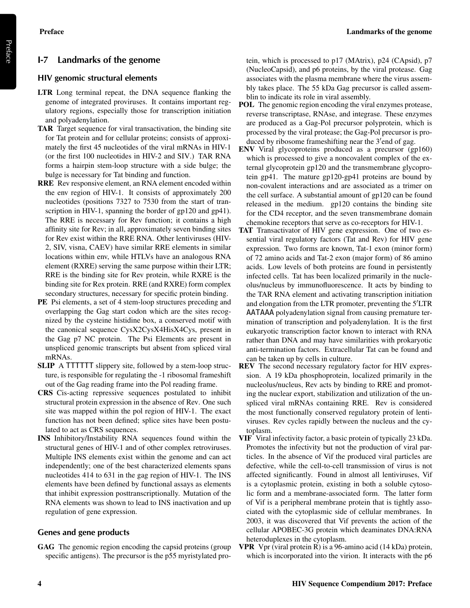#### **I-7 Landmarks of the genome**

#### **HIV genomic structural elements**

- LTR Long terminal repeat, the DNA sequence flanking the genome of integrated proviruses. It contains important regulatory regions, especially those for transcription initiation and polyadenylation.
- TAR Target sequence for viral transactivation, the binding site for Tat protein and for cellular proteins; consists of approximately the first 45 nucleotides of the viral mRNAs in HIV-1 (or the first 100 nucleotides in HIV-2 and SIV.) TAR RNA forms a hairpin stem-loop structure with a side bulge; the bulge is necessary for Tat binding and function.
- RRE Rev responsive element, an RNA element encoded within the env region of HIV-1. It consists of approximately 200 nucleotides (positions 7327 to 7530 from the start of transcription in HIV-1, spanning the border of gp120 and gp41). The RRE is necessary for Rev function; it contains a high affinity site for Rev; in all, approximately seven binding sites for Rev exist within the RRE RNA. Other lentiviruses (HIV-2, SIV, visna, CAEV) have similar RRE elements in similar locations within env, while HTLVs have an analogous RNA element (RXRE) serving the same purpose within their LTR; RRE is the binding site for Rev protein, while RXRE is the binding site for Rex protein. RRE (and RXRE) form complex secondary structures, necessary for specific protein binding.
- PE Psi elements, a set of 4 stem-loop structures preceding and overlapping the Gag start codon which are the sites recognized by the cysteine histidine box, a conserved motif with the canonical sequence CysX2CysX4HisX4Cys, present in the Gag p7 NC protein. The Psi Elements are present in unspliced genomic transcripts but absent from spliced viral mRNAs.
- SLIP A TTTTTT slippery site, followed by a stem-loop structure, is responsible for regulating the -1 ribosomal frameshift out of the Gag reading frame into the Pol reading frame.
- CRS Cis-acting repressive sequences postulated to inhibit structural protein expression in the absence of Rev. One such site was mapped within the pol region of HIV-1. The exact function has not been defined; splice sites have been postulated to act as CRS sequences.
- INS Inhibitory/Instability RNA sequences found within the structural genes of HIV-1 and of other complex retroviruses. Multiple INS elements exist within the genome and can act independently; one of the best characterized elements spans nucleotides 414 to 631 in the gag region of HIV-1. The INS elements have been defined by functional assays as elements that inhibit expression posttranscriptionally. Mutation of the RNA elements was shown to lead to INS inactivation and up regulation of gene expression.

#### **Genes and gene products**

GAG The genomic region encoding the capsid proteins (group specific antigens). The precursor is the p55 myristylated protein, which is processed to p17 (MAtrix), p24 (CApsid), p7 (NucleoCapsid), and p6 proteins, by the viral protease. Gag associates with the plasma membrane where the virus assembly takes place. The 55 kDa Gag precursor is called assemblin to indicate its role in viral assembly.

- POL The genomic region encoding the viral enzymes protease, reverse transcriptase, RNAse, and integrase. These enzymes are produced as a Gag-Pol precursor polyprotein, which is processed by the viral protease; the Gag-Pol precursor is produced by ribosome frameshifting near the 3'end of gag.
- ENV Viral glycoproteins produced as a precursor (gp160) which is processed to give a noncovalent complex of the external glycoprotein gp120 and the transmembrane glycoprotein gp41. The mature gp120-gp41 proteins are bound by non-covalent interactions and are associated as a trimer on the cell surface. A substantial amount of gp120 can be found released in the medium. gp120 contains the binding site for the CD4 receptor, and the seven transmembrane domain chemokine receptors that serve as co-receptors for HIV-1.
- TAT Transactivator of HIV gene expression. One of two essential viral regulatory factors (Tat and Rev) for HIV gene expression. Two forms are known, Tat-1 exon (minor form) of 72 amino acids and Tat-2 exon (major form) of 86 amino acids. Low levels of both proteins are found in persistently infected cells. Tat has been localized primarily in the nucleolus/nucleus by immunofluorescence. It acts by binding to the TAR RNA element and activating transcription initiation and elongation from the LTR promoter, preventing the  $5^{\prime}$ LTR AATAAA polyadenylation signal from causing premature termination of transcription and polyadenylation. It is the first eukaryotic transcription factor known to interact with RNA rather than DNA and may have similarities with prokaryotic anti-termination factors. Extracellular Tat can be found and can be taken up by cells in culture.
- REV The second necessary regulatory factor for HIV expression. A 19 kDa phosphoprotein, localized primarily in the nucleolus/nucleus, Rev acts by binding to RRE and promoting the nuclear export, stabilization and utilization of the unspliced viral mRNAs containing RRE. Rev is considered the most functionally conserved regulatory protein of lentiviruses. Rev cycles rapidly between the nucleus and the cytoplasm.
- VIF Viral infectivity factor, a basic protein of typically 23 kDa. Promotes the infectivity but not the production of viral particles. In the absence of Vif the produced viral particles are defective, while the cell-to-cell transmission of virus is not affected significantly. Found in almost all lentiviruses, Vif is a cytoplasmic protein, existing in both a soluble cytosolic form and a membrane-associated form. The latter form of Vif is a peripheral membrane protein that is tightly associated with the cytoplasmic side of cellular membranes. In 2003, it was discovered that Vif prevents the action of the cellular APOBEC-3G protein which deaminates DNA:RNA heteroduplexes in the cytoplasm.
- VPR Vpr (viral protein R) is a 96-amino acid (14 kDa) protein, which is incorporated into the virion. It interacts with the p6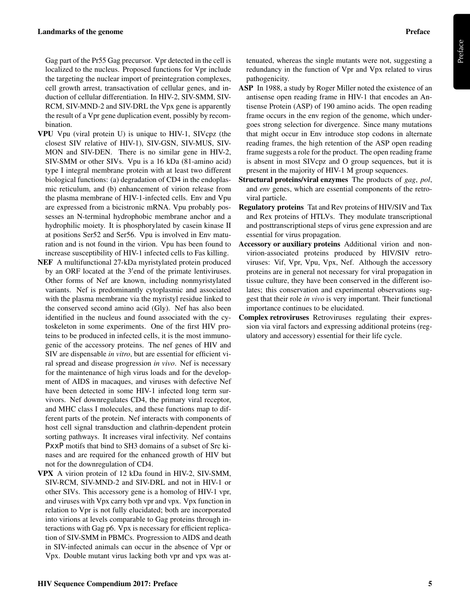Gag part of the Pr55 Gag precursor. Vpr detected in the cell is localized to the nucleus. Proposed functions for Vpr include the targeting the nuclear import of preintegration complexes, cell growth arrest, transactivation of cellular genes, and induction of cellular differentiation. In HIV-2, SIV-SMM, SIV-RCM, SIV-MND-2 and SIV-DRL the Vpx gene is apparently the result of a Vpr gene duplication event, possibly by recombination.

- VPU Vpu (viral protein U) is unique to HIV-1, SIVcpz (the closest SIV relative of HIV-1), SIV-GSN, SIV-MUS, SIV-MON and SIV-DEN. There is no similar gene in HIV-2, SIV-SMM or other SIVs. Vpu is a 16 kDa (81-amino acid) type I integral membrane protein with at least two different biological functions: (a) degradation of CD4 in the endoplasmic reticulum, and (b) enhancement of virion release from the plasma membrane of HIV-1-infected cells. Env and Vpu are expressed from a bicistronic mRNA. Vpu probably possesses an N-terminal hydrophobic membrane anchor and a hydrophilic moiety. It is phosphorylated by casein kinase II at positions Ser52 and Ser56. Vpu is involved in Env maturation and is not found in the virion. Vpu has been found to increase susceptibility of HIV-1 infected cells to Fas killing.
- NEF A multifunctional 27-kDa myristylated protein produced by an ORF located at the 3'end of the primate lentiviruses. Other forms of Nef are known, including nonmyristylated variants. Nef is predominantly cytoplasmic and associated with the plasma membrane via the myristyl residue linked to the conserved second amino acid (Gly). Nef has also been identified in the nucleus and found associated with the cytoskeleton in some experiments. One of the first HIV proteins to be produced in infected cells, it is the most immunogenic of the accessory proteins. The nef genes of HIV and SIV are dispensable *in vitro*, but are essential for efficient viral spread and disease progression *in vivo*. Nef is necessary for the maintenance of high virus loads and for the development of AIDS in macaques, and viruses with defective Nef have been detected in some HIV-1 infected long term survivors. Nef downregulates CD4, the primary viral receptor, and MHC class I molecules, and these functions map to different parts of the protein. Nef interacts with components of host cell signal transduction and clathrin-dependent protein sorting pathways. It increases viral infectivity. Nef contains PxxP motifs that bind to SH3 domains of a subset of Src kinases and are required for the enhanced growth of HIV but not for the downregulation of CD4.
- VPX A virion protein of 12 kDa found in HIV-2, SIV-SMM, SIV-RCM, SIV-MND-2 and SIV-DRL and not in HIV-1 or other SIVs. This accessory gene is a homolog of HIV-1 vpr, and viruses with Vpx carry both vpr and vpx. Vpx function in relation to Vpr is not fully elucidated; both are incorporated into virions at levels comparable to Gag proteins through interactions with Gag p6. Vpx is necessary for efficient replication of SIV-SMM in PBMCs. Progression to AIDS and death in SIV-infected animals can occur in the absence of Vpr or Vpx. Double mutant virus lacking both vpr and vpx was at-

tenuated, whereas the single mutants were not, suggesting a redundancy in the function of Vpr and Vpx related to virus pathogenicity.

- ASP In 1988, a study by Roger Miller noted the existence of an antisense open reading frame in HIV-1 that encodes an Antisense Protein (ASP) of 190 amino acids. The open reading frame occurs in the env region of the genome, which undergoes strong selection for divergence. Since many mutations that might occur in Env introduce stop codons in alternate reading frames, the high retention of the ASP open reading frame suggests a role for the product. The open reading frame is absent in most SIVcpz and O group sequences, but it is present in the majority of HIV-1 M group sequences.
- Structural proteins/viral enzymes The products of *gag*, *pol*, and *env* genes, which are essential components of the retroviral particle.
- Regulatory proteins Tat and Rev proteins of HIV/SIV and Tax and Rex proteins of HTLVs. They modulate transcriptional and posttranscriptional steps of virus gene expression and are essential for virus propagation.
- Accessory or auxiliary proteins Additional virion and nonvirion-associated proteins produced by HIV/SIV retroviruses: Vif, Vpr, Vpu, Vpx, Nef. Although the accessory proteins are in general not necessary for viral propagation in tissue culture, they have been conserved in the different isolates; this conservation and experimental observations suggest that their role *in vivo* is very important. Their functional importance continues to be elucidated.
- Complex retroviruses Retroviruses regulating their expression via viral factors and expressing additional proteins (regulatory and accessory) essential for their life cycle.